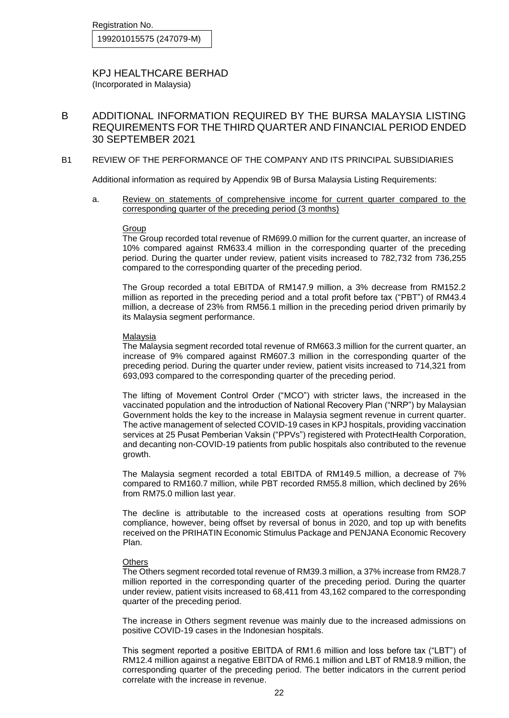KPJ HEALTHCARE BERHAD (Incorporated in Malaysia)

B ADDITIONAL INFORMATION REQUIRED BY THE BURSA MALAYSIA LISTING REQUIREMENTS FOR THE THIRD QUARTER AND FINANCIAL PERIOD ENDED 30 SEPTEMBER 2021

#### B1 REVIEW OF THE PERFORMANCE OF THE COMPANY AND ITS PRINCIPAL SUBSIDIARIES

Additional information as required by Appendix 9B of Bursa Malaysia Listing Requirements:

a. Review on statements of comprehensive income for current quarter compared to the corresponding quarter of the preceding period (3 months)

#### Group

The Group recorded total revenue of RM699.0 million for the current quarter, an increase of 10% compared against RM633.4 million in the corresponding quarter of the preceding period. During the quarter under review, patient visits increased to 782,732 from 736,255 compared to the corresponding quarter of the preceding period.

The Group recorded a total EBITDA of RM147.9 million, a 3% decrease from RM152.2 million as reported in the preceding period and a total profit before tax ("PBT") of RM43.4 million, a decrease of 23% from RM56.1 million in the preceding period driven primarily by its Malaysia segment performance.

#### Malaysia

The Malaysia segment recorded total revenue of RM663.3 million for the current quarter, an increase of 9% compared against RM607.3 million in the corresponding quarter of the preceding period. During the quarter under review, patient visits increased to 714,321 from 693,093 compared to the corresponding quarter of the preceding period.

The lifting of Movement Control Order ("MCO") with stricter laws, the increased in the vaccinated population and the introduction of National Recovery Plan ("NRP") by Malaysian Government holds the key to the increase in Malaysia segment revenue in current quarter. The active management of selected COVID-19 cases in KPJ hospitals, providing vaccination services at 25 Pusat Pemberian Vaksin ("PPVs") registered with ProtectHealth Corporation, and decanting non-COVID-19 patients from public hospitals also contributed to the revenue growth.

The Malaysia segment recorded a total EBITDA of RM149.5 million, a decrease of 7% compared to RM160.7 million, while PBT recorded RM55.8 million, which declined by 26% from RM75.0 million last year.

The decline is attributable to the increased costs at operations resulting from SOP compliance, however, being offset by reversal of bonus in 2020, and top up with benefits received on the PRIHATIN Economic Stimulus Package and PENJANA Economic Recovery Plan.

#### **Others**

The Others segment recorded total revenue of RM39.3 million, a 37% increase from RM28.7 million reported in the corresponding quarter of the preceding period. During the quarter under review, patient visits increased to 68,411 from 43,162 compared to the corresponding quarter of the preceding period.

The increase in Others segment revenue was mainly due to the increased admissions on positive COVID-19 cases in the Indonesian hospitals.

This segment reported a positive EBITDA of RM1.6 million and loss before tax ("LBT") of RM12.4 million against a negative EBITDA of RM6.1 million and LBT of RM18.9 million, the corresponding quarter of the preceding period. The better indicators in the current period correlate with the increase in revenue.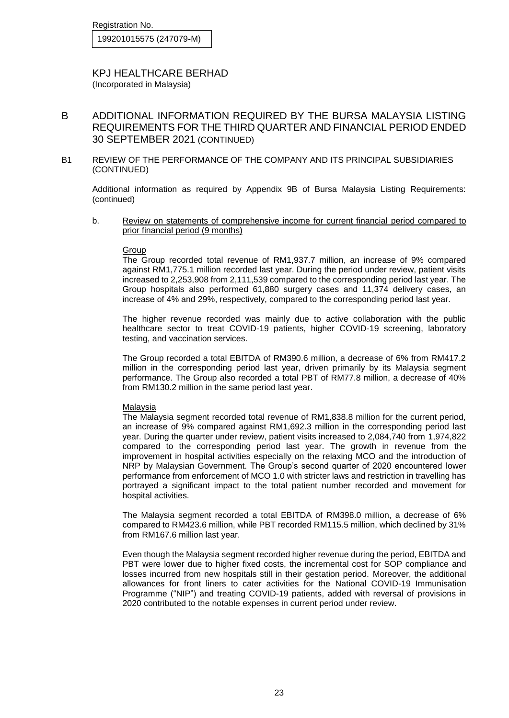KPJ HEALTHCARE BERHAD (Incorporated in Malaysia)

B ADDITIONAL INFORMATION REQUIRED BY THE BURSA MALAYSIA LISTING REQUIREMENTS FOR THE THIRD QUARTER AND FINANCIAL PERIOD ENDED 30 SEPTEMBER 2021 (CONTINUED)

### B1 REVIEW OF THE PERFORMANCE OF THE COMPANY AND ITS PRINCIPAL SUBSIDIARIES (CONTINUED)

Additional information as required by Appendix 9B of Bursa Malaysia Listing Requirements: (continued)

b. Review on statements of comprehensive income for current financial period compared to prior financial period (9 months)

#### Group

The Group recorded total revenue of RM1,937.7 million, an increase of 9% compared against RM1,775.1 million recorded last year. During the period under review, patient visits increased to 2,253,908 from 2,111,539 compared to the corresponding period last year. The Group hospitals also performed 61,880 surgery cases and 11,374 delivery cases, an increase of 4% and 29%, respectively, compared to the corresponding period last year.

The higher revenue recorded was mainly due to active collaboration with the public healthcare sector to treat COVID-19 patients, higher COVID-19 screening, laboratory testing, and vaccination services.

The Group recorded a total EBITDA of RM390.6 million, a decrease of 6% from RM417.2 million in the corresponding period last year, driven primarily by its Malaysia segment performance. The Group also recorded a total PBT of RM77.8 million, a decrease of 40% from RM130.2 million in the same period last year.

#### Malaysia

The Malaysia segment recorded total revenue of RM1,838.8 million for the current period, an increase of 9% compared against RM1,692.3 million in the corresponding period last year. During the quarter under review, patient visits increased to 2,084,740 from 1,974,822 compared to the corresponding period last year. The growth in revenue from the improvement in hospital activities especially on the relaxing MCO and the introduction of NRP by Malaysian Government. The Group's second quarter of 2020 encountered lower performance from enforcement of MCO 1.0 with stricter laws and restriction in travelling has portrayed a significant impact to the total patient number recorded and movement for hospital activities.

The Malaysia segment recorded a total EBITDA of RM398.0 million, a decrease of 6% compared to RM423.6 million, while PBT recorded RM115.5 million, which declined by 31% from RM167.6 million last year.

Even though the Malaysia segment recorded higher revenue during the period, EBITDA and PBT were lower due to higher fixed costs, the incremental cost for SOP compliance and losses incurred from new hospitals still in their gestation period. Moreover, the additional allowances for front liners to cater activities for the National COVID-19 Immunisation Programme ("NIP") and treating COVID-19 patients, added with reversal of provisions in 2020 contributed to the notable expenses in current period under review.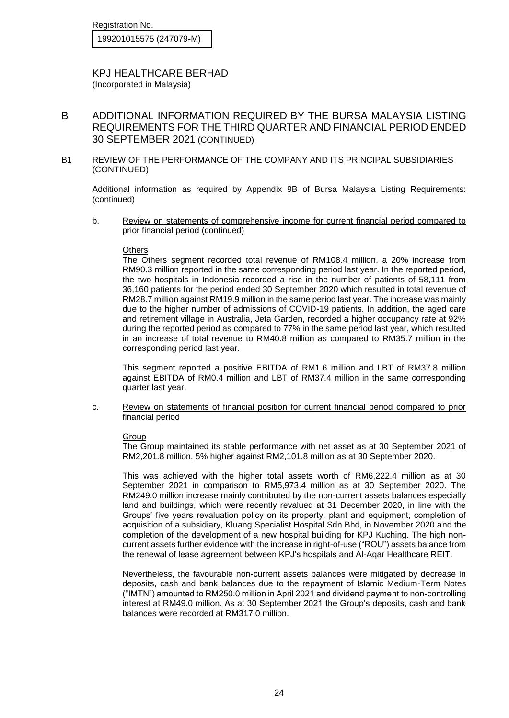KPJ HEALTHCARE BERHAD (Incorporated in Malaysia)

- B ADDITIONAL INFORMATION REQUIRED BY THE BURSA MALAYSIA LISTING REQUIREMENTS FOR THE THIRD QUARTER AND FINANCIAL PERIOD ENDED 30 SEPTEMBER 2021 (CONTINUED)
- B1 REVIEW OF THE PERFORMANCE OF THE COMPANY AND ITS PRINCIPAL SUBSIDIARIES (CONTINUED)

Additional information as required by Appendix 9B of Bursa Malaysia Listing Requirements: (continued)

b. Review on statements of comprehensive income for current financial period compared to prior financial period (continued)

#### **Others**

The Others segment recorded total revenue of RM108.4 million, a 20% increase from RM90.3 million reported in the same corresponding period last year. In the reported period, the two hospitals in Indonesia recorded a rise in the number of patients of 58,111 from 36,160 patients for the period ended 30 September 2020 which resulted in total revenue of RM28.7 million against RM19.9 million in the same period last year. The increase was mainly due to the higher number of admissions of COVID-19 patients. In addition, the aged care and retirement village in Australia, Jeta Garden, recorded a higher occupancy rate at 92% during the reported period as compared to 77% in the same period last year, which resulted in an increase of total revenue to RM40.8 million as compared to RM35.7 million in the corresponding period last year.

This segment reported a positive EBITDA of RM1.6 million and LBT of RM37.8 million against EBITDA of RM0.4 million and LBT of RM37.4 million in the same corresponding quarter last year.

c. Review on statements of financial position for current financial period compared to prior financial period

#### Group

The Group maintained its stable performance with net asset as at 30 September 2021 of RM2,201.8 million, 5% higher against RM2,101.8 million as at 30 September 2020.

This was achieved with the higher total assets worth of RM6,222.4 million as at 30 September 2021 in comparison to RM5,973.4 million as at 30 September 2020. The RM249.0 million increase mainly contributed by the non-current assets balances especially land and buildings, which were recently revalued at 31 December 2020, in line with the Groups' five years revaluation policy on its property, plant and equipment, completion of acquisition of a subsidiary, Kluang Specialist Hospital Sdn Bhd, in November 2020 and the completion of the development of a new hospital building for KPJ Kuching. The high noncurrent assets further evidence with the increase in right-of-use ("ROU") assets balance from the renewal of lease agreement between KPJ's hospitals and Al-Aqar Healthcare REIT.

Nevertheless, the favourable non-current assets balances were mitigated by decrease in deposits, cash and bank balances due to the repayment of Islamic Medium-Term Notes ("IMTN") amounted to RM250.0 million in April 2021 and dividend payment to non-controlling interest at RM49.0 million. As at 30 September 2021 the Group's deposits, cash and bank balances were recorded at RM317.0 million.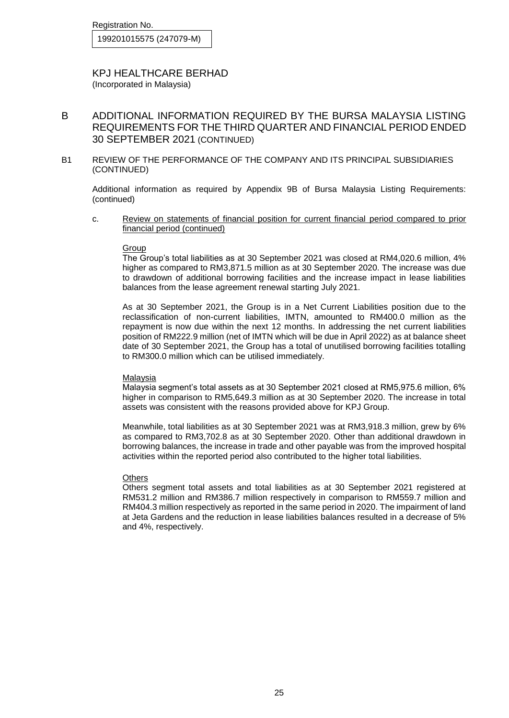KPJ HEALTHCARE BERHAD (Incorporated in Malaysia)

- B ADDITIONAL INFORMATION REQUIRED BY THE BURSA MALAYSIA LISTING REQUIREMENTS FOR THE THIRD QUARTER AND FINANCIAL PERIOD ENDED 30 SEPTEMBER 2021 (CONTINUED)
- B1 REVIEW OF THE PERFORMANCE OF THE COMPANY AND ITS PRINCIPAL SUBSIDIARIES (CONTINUED)

Additional information as required by Appendix 9B of Bursa Malaysia Listing Requirements: (continued)

c. Review on statements of financial position for current financial period compared to prior financial period (continued)

#### Group

The Group's total liabilities as at 30 September 2021 was closed at RM4,020.6 million, 4% higher as compared to RM3,871.5 million as at 30 September 2020. The increase was due to drawdown of additional borrowing facilities and the increase impact in lease liabilities balances from the lease agreement renewal starting July 2021.

As at 30 September 2021, the Group is in a Net Current Liabilities position due to the reclassification of non-current liabilities, IMTN, amounted to RM400.0 million as the repayment is now due within the next 12 months. In addressing the net current liabilities position of RM222.9 million (net of IMTN which will be due in April 2022) as at balance sheet date of 30 September 2021, the Group has a total of unutilised borrowing facilities totalling to RM300.0 million which can be utilised immediately.

#### Malaysia

Malaysia segment's total assets as at 30 September 2021 closed at RM5,975.6 million, 6% higher in comparison to RM5,649.3 million as at 30 September 2020. The increase in total assets was consistent with the reasons provided above for KPJ Group.

Meanwhile, total liabilities as at 30 September 2021 was at RM3,918.3 million, grew by 6% as compared to RM3,702.8 as at 30 September 2020. Other than additional drawdown in borrowing balances, the increase in trade and other payable was from the improved hospital activities within the reported period also contributed to the higher total liabilities.

#### **Others**

Others segment total assets and total liabilities as at 30 September 2021 registered at RM531.2 million and RM386.7 million respectively in comparison to RM559.7 million and RM404.3 million respectively as reported in the same period in 2020. The impairment of land at Jeta Gardens and the reduction in lease liabilities balances resulted in a decrease of 5% and 4%, respectively.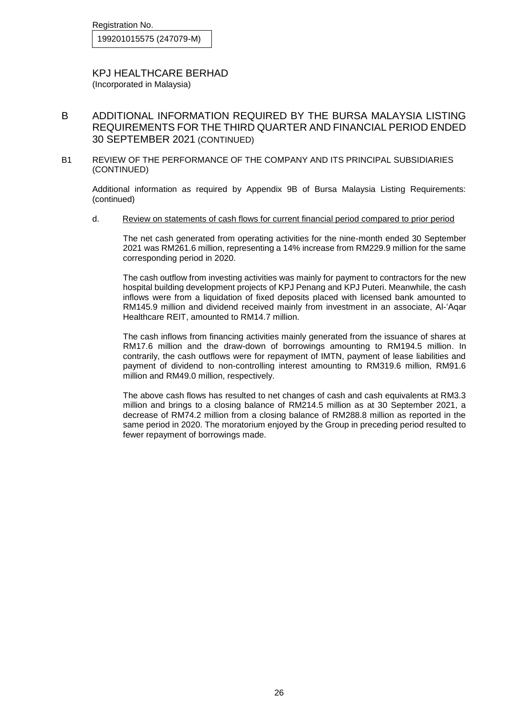Registration No.

199201015575 (247079-M)

KPJ HEALTHCARE BERHAD (Incorporated in Malaysia)

- B ADDITIONAL INFORMATION REQUIRED BY THE BURSA MALAYSIA LISTING REQUIREMENTS FOR THE THIRD QUARTER AND FINANCIAL PERIOD ENDED 30 SEPTEMBER 2021 (CONTINUED)
- B1 REVIEW OF THE PERFORMANCE OF THE COMPANY AND ITS PRINCIPAL SUBSIDIARIES (CONTINUED)

Additional information as required by Appendix 9B of Bursa Malaysia Listing Requirements: (continued)

d. Review on statements of cash flows for current financial period compared to prior period

The net cash generated from operating activities for the nine-month ended 30 September 2021 was RM261.6 million, representing a 14% increase from RM229.9 million for the same corresponding period in 2020.

The cash outflow from investing activities was mainly for payment to contractors for the new hospital building development projects of KPJ Penang and KPJ Puteri. Meanwhile, the cash inflows were from a liquidation of fixed deposits placed with licensed bank amounted to RM145.9 million and dividend received mainly from investment in an associate, Al-'Aqar Healthcare REIT, amounted to RM14.7 million.

The cash inflows from financing activities mainly generated from the issuance of shares at RM17.6 million and the draw-down of borrowings amounting to RM194.5 million. In contrarily, the cash outflows were for repayment of IMTN, payment of lease liabilities and payment of dividend to non-controlling interest amounting to RM319.6 million, RM91.6 million and RM49.0 million, respectively.

The above cash flows has resulted to net changes of cash and cash equivalents at RM3.3 million and brings to a closing balance of RM214.5 million as at 30 September 2021, a decrease of RM74.2 million from a closing balance of RM288.8 million as reported in the same period in 2020. The moratorium enjoyed by the Group in preceding period resulted to fewer repayment of borrowings made.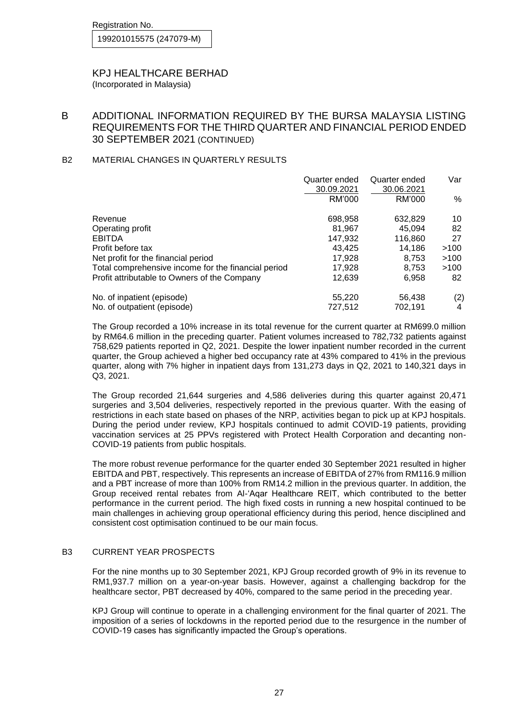### KPJ HEALTHCARE BERHAD (Incorporated in Malaysia)

# B ADDITIONAL INFORMATION REQUIRED BY THE BURSA MALAYSIA LISTING REQUIREMENTS FOR THE THIRD QUARTER AND FINANCIAL PERIOD ENDED 30 SEPTEMBER 2021 (CONTINUED)

# B2 MATERIAL CHANGES IN QUARTERLY RESULTS

|                                                     | Quarter ended | Quarter ended | Var  |
|-----------------------------------------------------|---------------|---------------|------|
|                                                     | 30.09.2021    | 30.06.2021    |      |
|                                                     | RM'000        | RM'000        | %    |
| Revenue                                             | 698,958       | 632,829       | 10   |
| Operating profit                                    | 81,967        | 45.094        | 82   |
| <b>EBITDA</b>                                       | 147,932       | 116,860       | 27   |
| Profit before tax                                   | 43.425        | 14.186        | >100 |
| Net profit for the financial period                 | 17,928        | 8.753         | >100 |
| Total comprehensive income for the financial period | 17,928        | 8.753         | >100 |
| Profit attributable to Owners of the Company        | 12.639        | 6.958         | 82   |
| No. of inpatient (episode)                          | 55,220        | 56,438        | (2)  |
| No. of outpatient (episode)                         | 727.512       | 702.191       | 4    |

The Group recorded a 10% increase in its total revenue for the current quarter at RM699.0 million by RM64.6 million in the preceding quarter. Patient volumes increased to 782,732 patients against 758,629 patients reported in Q2, 2021. Despite the lower inpatient number recorded in the current quarter, the Group achieved a higher bed occupancy rate at 43% compared to 41% in the previous quarter, along with 7% higher in inpatient days from 131,273 days in Q2, 2021 to 140,321 days in Q3, 2021.

The Group recorded 21,644 surgeries and 4,586 deliveries during this quarter against 20,471 surgeries and 3,504 deliveries, respectively reported in the previous quarter. With the easing of restrictions in each state based on phases of the NRP, activities began to pick up at KPJ hospitals. During the period under review, KPJ hospitals continued to admit COVID-19 patients, providing vaccination services at 25 PPVs registered with Protect Health Corporation and decanting non-COVID-19 patients from public hospitals.

The more robust revenue performance for the quarter ended 30 September 2021 resulted in higher EBITDA and PBT, respectively. This represents an increase of EBITDA of 27% from RM116.9 million and a PBT increase of more than 100% from RM14.2 million in the previous quarter. In addition, the Group received rental rebates from Al-'Aqar Healthcare REIT, which contributed to the better performance in the current period. The high fixed costs in running a new hospital continued to be main challenges in achieving group operational efficiency during this period, hence disciplined and consistent cost optimisation continued to be our main focus.

## B3 CURRENT YEAR PROSPECTS

For the nine months up to 30 September 2021, KPJ Group recorded growth of 9% in its revenue to RM1,937.7 million on a year-on-year basis. However, against a challenging backdrop for the healthcare sector, PBT decreased by 40%, compared to the same period in the preceding year.

KPJ Group will continue to operate in a challenging environment for the final quarter of 2021. The imposition of a series of lockdowns in the reported period due to the resurgence in the number of COVID-19 cases has significantly impacted the Group's operations.